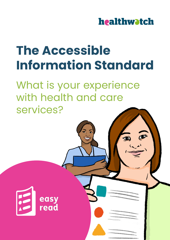

# **The Accessible Information Standard**

What is your experience with health and care services?

easy<br>read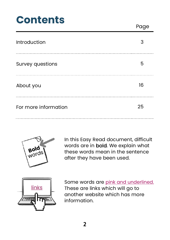#### **Contents**

Page

| <b>Introduction</b>     |    |
|-------------------------|----|
| <b>Survey questions</b> | h  |
| About you               | 16 |
| For more information    | 25 |



In this Easy Read document, difficult words are in bold. We explain what these words mean in the sentence after they have been used.



Some words are *pink and underlined.* These are links which will go to another website which has more information.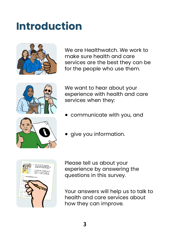#### <span id="page-2-0"></span>**Introduction**



We are Healthwatch. We work to make sure health and care services are the best they can be for the people who use them.



We want to hear about your experience with health and care services when they:

• communicate with you, and



• give you information.



Please tell us about your experience by answering the questions in this survey.

Your answers will help us to talk to health and care services about how they can improve.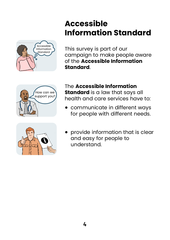#### **Accessible Information Standard**



This survey is part of our campaign to make people aware of the **Accessible Information Standard**.





The **Accessible Information Standard** is a law that says all health and care services have to:

- communicate in different ways for people with different needs.
- provide information that is clear and easy for people to understand.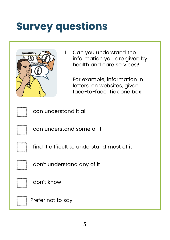## <span id="page-4-0"></span>**Survey questions**



1. Can you understand the information you are given by health and care services?

For example, information in letters, on websites, given face-to-face. Tick one box

I can understand it all

I can understand some of it

I find it difficult to understand most of it

I don't understand any of it



I don't know

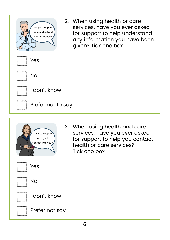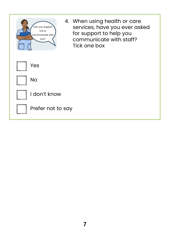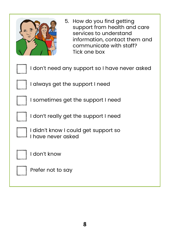| 5. How do you find getting<br>support from health and care<br>services to understand<br>information, contact them and<br>communicate with staff?<br>Tick one box |
|------------------------------------------------------------------------------------------------------------------------------------------------------------------|
| I don't need any support so I have never asked                                                                                                                   |
| I always get the support I need                                                                                                                                  |
| I sometimes get the support I need                                                                                                                               |
| I don't really get the support I need                                                                                                                            |
| I didn't know I could get support so<br>have never asked                                                                                                         |
| I don't know                                                                                                                                                     |
| Prefer not to say                                                                                                                                                |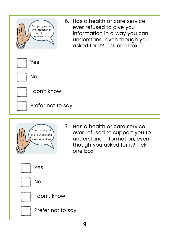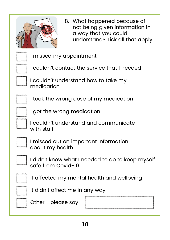

8. What happened because of not being given information in a way that you could understand? Tick all that apply

I missed my appointment

I couldn't contact the service that I needed

I couldn't understand how to take my medication

I took the wrong dose of my medication

I got the wrong medication

I couldn't understand and communicate with staff

I missed out on important information about my health

I didn't know what I needed to do to keep myself safe from Covid-19

It affected my mental health and wellbeing



It didn't affect me in any way



Other - please say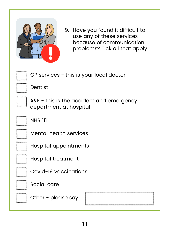

9. Have you found it difficult to use any of these services because of communication problems? Tick all that apply

GP services - this is your local doctor

Dentist

A&E - this is the accident and emergency department at hospital

NHS 111

Mental health services

Hospital appointments

Hospital treatment

Covid-19 vaccinations

Social care

Other - please say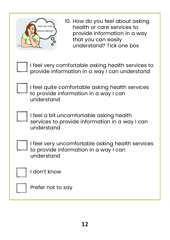| 10. How do you feel about asking<br>How do I feel<br>health or care services to<br>about asking?<br>provide information in a way<br>that you can easily<br>understand? Tick one box |  |  |
|-------------------------------------------------------------------------------------------------------------------------------------------------------------------------------------|--|--|
| I feel very comfortable asking health services to<br>provide information in a way I can understand                                                                                  |  |  |
| I feel quite comfortable asking health services<br>to provide information in a way I can<br>understand                                                                              |  |  |
| I feel a bit uncomfortable asking health<br>services to provide information in a way I can<br>understand                                                                            |  |  |
| I feel very uncomfortable asking health services<br>to provide information in a way I can<br>understand                                                                             |  |  |
| I don't know                                                                                                                                                                        |  |  |
| Prefer not to say                                                                                                                                                                   |  |  |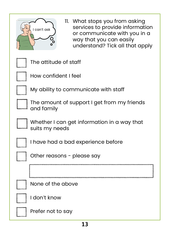| 11. What stops you from asking<br>services to provide information<br>I can't ask<br>or communicate with you in a<br>way that you can easily<br>Ó<br>understand? Tick all that apply |  |  |
|-------------------------------------------------------------------------------------------------------------------------------------------------------------------------------------|--|--|
| The attitude of staff                                                                                                                                                               |  |  |
| How confident I feel                                                                                                                                                                |  |  |
| My ability to communicate with staff                                                                                                                                                |  |  |
| The amount of support I get from my friends<br>and family                                                                                                                           |  |  |
| Whether I can get information in a way that<br>suits my needs                                                                                                                       |  |  |
| I have had a bad experience before                                                                                                                                                  |  |  |
| Other reasons - please say                                                                                                                                                          |  |  |
|                                                                                                                                                                                     |  |  |
| None of the above                                                                                                                                                                   |  |  |
| I don't know                                                                                                                                                                        |  |  |
| Prefer not to say                                                                                                                                                                   |  |  |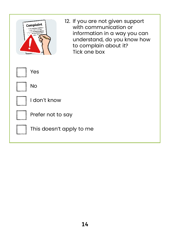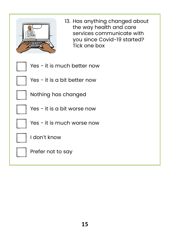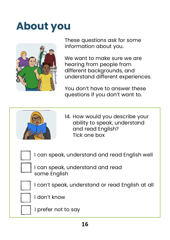### <span id="page-15-0"></span>**About you**



These questions ask for some information about you.

We want to make sure we are hearing from people from different backgrounds, and understand different experiences.

You don't have to answer these questions if you don't want to.



14. How would you describe your ability to speak, understand and read English? Tick one box



I can speak, understand and read English well

I can speak, understand and read some English

I can't speak, understand or read English at all



I don't know



I prefer not to say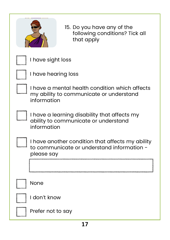| 15. Do you have any of the<br>following conditions? Tick all<br>that apply                                   |  |  |
|--------------------------------------------------------------------------------------------------------------|--|--|
| I have sight loss                                                                                            |  |  |
| I have hearing loss                                                                                          |  |  |
| I have a mental health condition which affects<br>my ability to communicate or understand<br>information     |  |  |
| I have a learning disability that affects my<br>ability to communicate or understand<br>information          |  |  |
| I have another condition that affects my ability<br>to communicate or understand information -<br>please say |  |  |
|                                                                                                              |  |  |
| <b>None</b>                                                                                                  |  |  |
| I don't know                                                                                                 |  |  |
| Prefer not to say                                                                                            |  |  |
|                                                                                                              |  |  |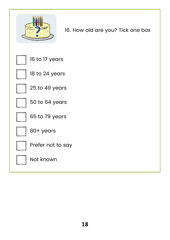

16. How old are you? Tick one box

16 to 17 years

18 to 24 years

25 to 49 years

50 to 64 years

65 to 79 years



80+ years



Prefer not to say

Not known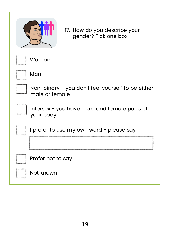

17. How do you describe your gender? Tick one box

Woman

Man

Non-binary - you don't feel yourself to be either male or female

Intersex - you have male and female parts of your body

I prefer to use my own word - please say

|  |  | <b>Not known</b> |
|--|--|------------------|
|--|--|------------------|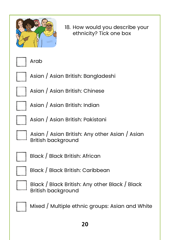

18. How would you describe your ethnicity? Tick one box

Arab



Asian / Asian British: Bangladeshi

Asian / Asian British: Chinese

Asian / Asian British: Indian

Asian / Asian British: Pakistani

Asian / Asian British: Any other Asian / Asian British background



Black / Black British: African



Black / Black British: Caribbean



Black / Black British: Any other Black / Black British background



Mixed / Multiple ethnic groups: Asian and White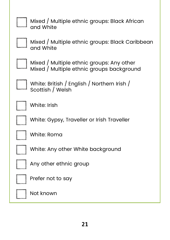

Mixed / Multiple ethnic groups: Black African and White



Mixed / Multiple ethnic groups: Black Caribbean and White

Mixed / Multiple ethnic groups: Any other Mixed / Multiple ethnic groups background

White: British / English / Northern Irish / Scottish / Welsh



White: Irish

White: Gypsy, Traveller or Irish Traveller

White: Roma

White: Any other White background

Any other ethnic group



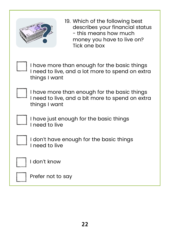

19. Which of the following best describes your financial status - this means how much money you have to live on? Tick one box

I have more than enough for the basic things I need to live, and a lot more to spend on extra things I want

I have more than enough for the basic things I need to live, and a bit more to spend on extra things I want

I have just enough for the basic things I need to live

I don't have enough for the basic things I need to live



I don't know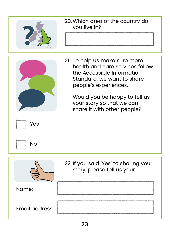|                | 20. Which area of the country do<br>you live in?                                                                                                                                                                                                   |
|----------------|----------------------------------------------------------------------------------------------------------------------------------------------------------------------------------------------------------------------------------------------------|
| Yes<br>No      | 21. To help us make sure more<br>health and care services follow<br>the Accessible Information<br>Standard, we want to share<br>people's experiences.<br>Would you be happy to tell us<br>your story so that we can<br>share it with other people? |
|                | 22. If you said 'Yes' to sharing your<br>story, please tell us your:                                                                                                                                                                               |
| Name:          |                                                                                                                                                                                                                                                    |
| Email address: |                                                                                                                                                                                                                                                    |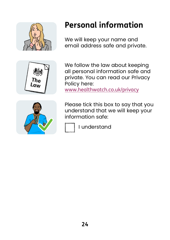





#### **Personal information**

We will keep your name and email address safe and private.

We follow the law about keeping all personal information safe and private. You can read our Privacy Policy here:

<www.healthwatch.co.uk/privacy>

Please tick this box to say that you understand that we will keep your information safe:

I understand